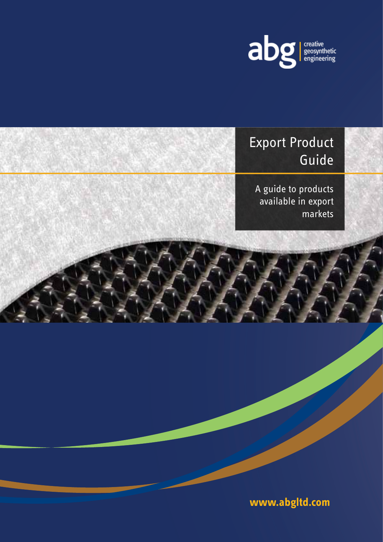

# Export Product Guide

A guide to products available in export markets

**www.abgltd.com**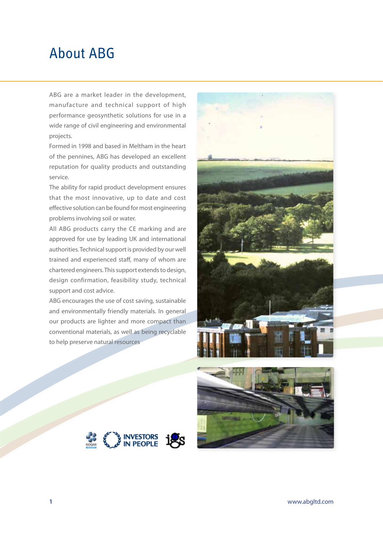### About ABG

ABG are a market leader in the development, manufacture and technical support of high performance geosynthetic solutions for use in a wide range of civil engineering and environmental projects.

Formed in 1998 and based in Meltham in the heart of the pennines, ABG has developed an excellent reputation for quality products and outstanding service.

The ability for rapid product development ensures that the most innovative, up to date and cost effective solution can be found for most engineering problems involving soil or water.

All ABG products carry the CE marking and are approved for use by leading UK and international authorities. Technical support is provided by our well trained and experienced staff, many of whom are chartered engineers. This support extends to design, design confirmation, feasibility study, technical support and cost advice.

ABG encourages the use of cost saving, sustainable and environmentally friendly materials. In general our products are lighter and more compact than conventional materials, as well as being recyclable to help preserve natural resources







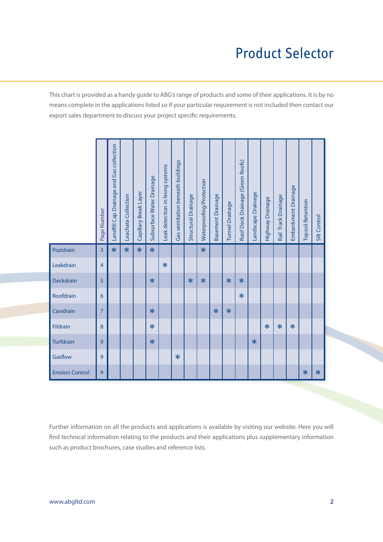# Product Selector

This chart is provided as a handy guide to ABG's range of products and some of their applications. It is by no means complete in the applications listed so if your particular requirement is not included then contact our export sales department to discuss your project specific requirements.

|                        | Page Number    | andfill Cap Drainage and Gas collection | Leachate Collection | Capillary Break Layer | Subsurface Water Drainage | Leak detection in lining systems | Gas ventilation beneath buildings | Structural Drainage | Waterproofing/Protection | Basement Drainage | <b>Tunnel Drainage</b> | Roof Deck Drainage (Green Roofs) | andscape Drainage | Highway Drainage | Rail Track Drainage | Embankment Drainage | <b>Topsoil Retention</b> | Silt Control |
|------------------------|----------------|-----------------------------------------|---------------------|-----------------------|---------------------------|----------------------------------|-----------------------------------|---------------------|--------------------------|-------------------|------------------------|----------------------------------|-------------------|------------------|---------------------|---------------------|--------------------------|--------------|
| Pozidrain              | 3              | $\ast$                                  | $\ast$              | $\ast$                | $\ast$                    |                                  |                                   |                     | $\ast$                   |                   |                        |                                  |                   |                  |                     |                     |                          |              |
| Leakdrain              | $\overline{4}$ |                                         |                     |                       |                           | $\ast$                           |                                   |                     |                          |                   |                        |                                  |                   |                  |                     |                     |                          |              |
| Deckdrain              | 5              |                                         |                     |                       | $*$                       |                                  |                                   | $\ast$              | $\ast$                   |                   | $\ast$                 | $\ast$                           |                   |                  |                     |                     |                          |              |
| Roofdrain              | 6              |                                         |                     |                       |                           |                                  |                                   |                     |                          |                   |                        | $\ast$                           |                   |                  |                     |                     |                          |              |
| Cavidrain              | $\overline{7}$ |                                         |                     |                       | $\ast$                    |                                  |                                   |                     |                          | $\ast$            | $\ast$                 |                                  |                   |                  |                     |                     |                          |              |
| Fildrain               | 8              |                                         |                     |                       | $\ast$                    |                                  |                                   |                     |                          |                   |                        |                                  |                   | $\ast$           | $\ast$              | $*$                 |                          |              |
| Turfdrain              | 9              |                                         |                     |                       | $\ast$                    |                                  |                                   |                     |                          |                   |                        |                                  | $\ast$            |                  |                     |                     |                          |              |
| Gasflow                | 9              |                                         |                     |                       |                           |                                  | $\ast$                            |                     |                          |                   |                        |                                  |                   |                  |                     |                     |                          |              |
| <b>Erosion Control</b> | 9              |                                         |                     |                       |                           |                                  |                                   |                     |                          |                   |                        |                                  |                   |                  |                     |                     | $\ast$                   | $\ast$       |

Further information on all the products and applications is available by visiting our website. Here you will find technical information relating to the products and their applications plus supplementary information such as product brochures, case studies and reference lists.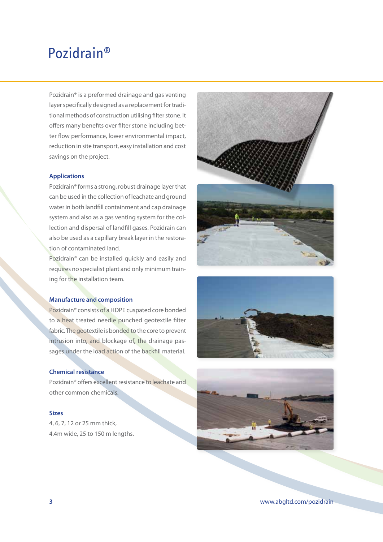### Pozidrain®

Pozidrain® is a preformed drainage and gas venting layer specifically designed as a replacement for traditional methods of construction utilising filter stone. It offers many benefits over filter stone including better flow performance, lower environmental impact, reduction in site transport, easy installation and cost savings on the project.

#### **Applications**

Pozidrain® forms a strong, robust drainage layer that can be used in the collection of leachate and ground water in both landfill containment and cap drainage system and also as a gas venting system for the collection and dispersal of landfill gases. Pozidrain can also be used as a capillary break layer in the restoration of contaminated land.

Pozidrain® can be installed quickly and easily and requires no specialist plant and only minimum training for the installation team.

### **Manufacture and composition**

Pozidrain® consists of a HDPE cuspated core bonded to a heat treated needle punched geotextile filter fabric. The geotextile is bonded to the core to prevent intrusion into, and blockage of, the drainage passages under the load action of the backfill material.

#### **Chemical resistance**

Pozidrain® offers excellent resistance to leachate and other common chemicals.

### **Sizes**

4, 6, 7, 12 or 25 mm thick, 4.4m wide, 25 to 150 m lengths.







**3** www.abgltd.com/pozidrain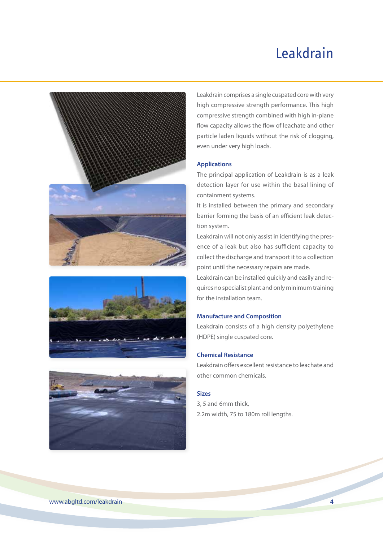# Leakdrain







Leakdrain comprises a single cuspated core with very high compressive strength performance. This high compressive strength combined with high in-plane flow capacity allows the flow of leachate and other particle laden liquids without the risk of clogging, even under very high loads.

#### **Applications**

The principal application of Leakdrain is as a leak detection layer for use within the basal lining of containment systems.

It is installed between the primary and secondary barrier forming the basis of an efficient leak detection system.

Leakdrain will not only assist in identifying the presence of a leak but also has sufficient capacity to collect the discharge and transport it to a collection point until the necessary repairs are made.

Leakdrain can be installed quickly and easily and requires no specialist plant and only minimum training for the installation team.

#### **Manufacture and Composition**

Leakdrain consists of a high density polyethylene (HDPE) single cuspated core.

### **Chemical Resistance**

Leakdrain offers excellent resistance to leachate and other common chemicals.

#### **Sizes**

3, 5 and 6mm thick, 2.2m width, 75 to 180m roll lengths.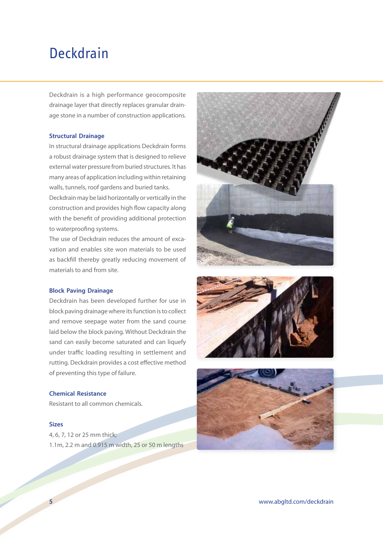### Deckdrain

Deckdrain is a high performance geocomposite drainage layer that directly replaces granular drainage stone in a number of construction applications.

#### **Structural Drainage**

In structural drainage applications Deckdrain forms a robust drainage system that is designed to relieve external water pressure from buried structures. It has many areas of application including within retaining walls, tunnels, roof gardens and buried tanks.

Deckdrain may be laid horizontally or vertically in the construction and provides high flow capacity along with the benefit of providing additional protection to waterproofing systems.

The use of Deckdrain reduces the amount of excavation and enables site won materials to be used as backfill thereby greatly reducing movement of materials to and from site.

#### **Block Paving Drainage**

Deckdrain has been developed further for use in block paving drainage where its function is to collect and remove seepage water from the sand course laid below the block paving. Without Deckdrain the sand can easily become saturated and can liquefy under traffic loading resulting in settlement and rutting. Deckdrain provides a cost effective method of preventing this type of failure.

### **Chemical Resistance**

Resistant to all common chemicals.

#### **Sizes**

4, 6, 7, 12 or 25 mm thick; 1.1m, 2.2 m and 0.915 m width, 25 or 50 m lengths





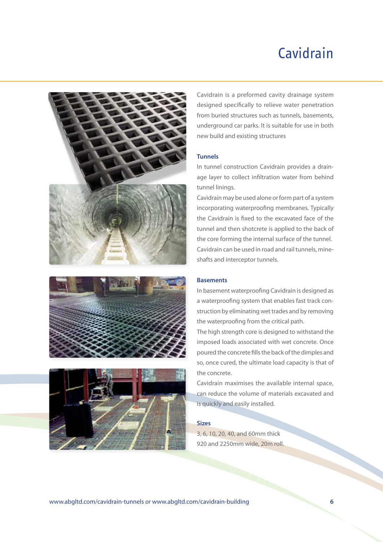# Cavidrain







Cavidrain is a preformed cavity drainage system designed specifically to relieve water penetration from buried structures such as tunnels, basements, underground car parks. It is suitable for use in both new build and existing structures

#### **Tunnels**

In tunnel construction Cavidrain provides a drainage layer to collect infiltration water from behind tunnel linings.

Cavidrain may be used alone or form part of a system incorporating waterproofing membranes. Typically the Cavidrain is fixed to the excavated face of the tunnel and then shotcrete is applied to the back of the core forming the internal surface of the tunnel. Cavidrain can be used in road and rail tunnels, mineshafts and interceptor tunnels.

#### **Basements**

In basement waterproofing Cavidrain is designed as a waterproofing system that enables fast track construction by eliminating wet trades and by removing the waterproofing from the critical path.

The high strength core is designed to withstand the imposed loads associated with wet concrete. Once poured the concrete fills the back of the dimples and so, once cured, the ultimate load capacity is that of the concrete.

Cavidrain maximises the available internal space, can reduce the volume of materials excavated and is quickly and easily installed.

#### **Sizes**

3, 6, 10, 20, 40, and 60mm thick 920 and 2250mm wide, 20m roll.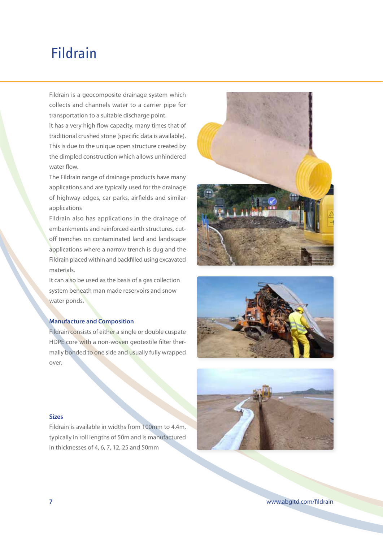### Fildrain

Fildrain is a geocomposite drainage system which collects and channels water to a carrier pipe for transportation to a suitable discharge point.

It has a very high flow capacity, many times that of traditional crushed stone (specific data is available). This is due to the unique open structure created by the dimpled construction which allows unhindered water flow.

The Fildrain range of drainage products have many applications and are typically used for the drainage of highway edges, car parks, airfields and similar applications

Fildrain also has applications in the drainage of embankments and reinforced earth structures, cutoff trenches on contaminated land and landscape applications where a narrow trench is dug and the Fildrain placed within and backfilled using excavated materials.

It can also be used as the basis of a gas collection system beneath man made reservoirs and snow water ponds.

### **Manufacture and Composition**

Fildrain consists of either a single or double cuspate HDPE core with a non-woven geotextile filter thermally bonded to one side and usually fully wrapped over.







#### **Sizes**

Fildrain is available in widths from 100mm to 4.4m, typically in roll lengths of 50m and is manufactured in thicknesses of 4, 6, 7, 12, 25 and 50mm

**7** www.abgltd.com/fildrain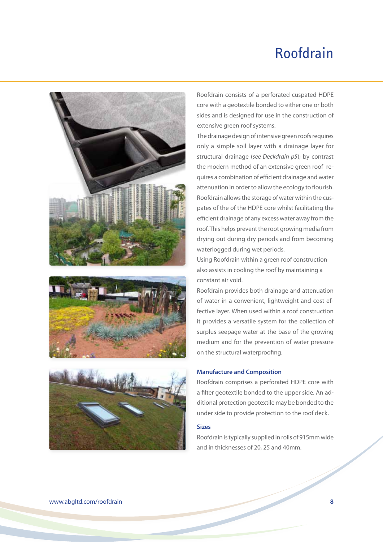# Roofdrain







Roofdrain consists of a perforated cuspated HDPE core with a geotextile bonded to either one or both sides and is designed for use in the construction of extensive green roof systems.

The drainage design of intensive green roofs requires only a simple soil layer with a drainage layer for structural drainage (*see Deckdrain p5*); by contrast the modern method of an extensive green roof requires a combination of efficient drainage and water attenuation in order to allow the ecology to flourish. Roofdrain allows the storage of water within the cuspates of the of the HDPE core whilst facilitating the efficient drainage of any excess water away from the roof. This helps prevent the root growing media from drying out during dry periods and from becoming waterlogged during wet periods.

Using Roofdrain within a green roof construction also assists in cooling the roof by maintaining a constant air void.

Roofdrain provides both drainage and attenuation of water in a convenient, lightweight and cost effective layer. When used within a roof construction it provides a versatile system for the collection of surplus seepage water at the base of the growing medium and for the prevention of water pressure on the structural waterproofing.

#### **Manufacture and Composition**

Roofdrain comprises a perforated HDPE core with a filter geotextile bonded to the upper side. An additional protection geotextile may be bonded to the under side to provide protection to the roof deck.

#### **Sizes**

Roofdrain is typically supplied in rolls of 915mm wide and in thicknesses of 20, 25 and 40mm.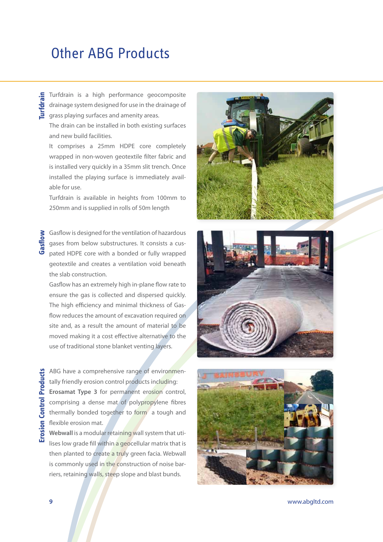### Other ABG Products

**Turfdrain** is a high performance geocomposite<br>drainage system designed for use in the drainage of<br>**Turney Strain** gaurfaces and amenity areas. drainage system designed for use in the drainage of grass playing surfaces and amenity areas.

The drain can be installed in both existing surfaces and new build facilities.

It comprises a 25mm HDPE core completely wrapped in non-woven geotextile filter fabric and is installed very quickly in a 35mm slit trench. Once installed the playing surface is immediately available for use.

Turfdrain is available in heights from 100mm to 250mm and is supplied in rolls of 50m length

Gasflow is designed for the ventilation of hazardous gases from below substructures. It consists a cuspated HDPE core with a bonded or fully wrapped geotextile and creates a ventilation void beneath the slab construction. **Gasflow**

Gasflow has an extremely high in-plane flow rate to ensure the gas is collected and dispersed quickly. The high efficiency and minimal thickness of Gasflow reduces the amount of excavation required on site and, as a result the amount of material to be moved making it a cost effective alternative to the use of traditional stone blanket venting layers.

ABG have a comprehensive range of environmentally friendly erosion control products including: **Erosamat Type 3** for permanent erosion control, comprising a dense mat of polypropylene fibres thermally bonded together to form a tough and flexible erosion mat.

**Webwall** is a modular retaining wall system that utilises low grade fill within a geocellular matrix that is then planted to create a truly green facia. Webwall is commonly used in the construction of noise barriers, retaining walls, steep slope and blast bunds.







**9** www.abgltd.com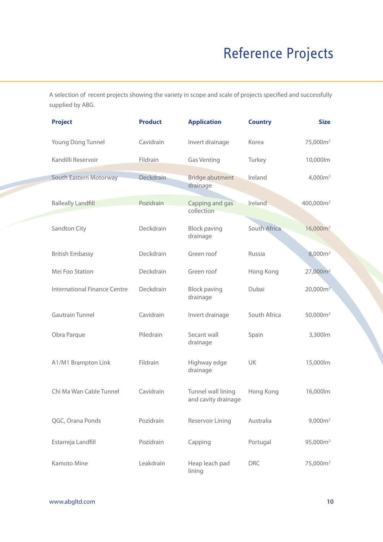# Reference Projects

A selection of recent projects showing the variety in scope and scale of projects specified and successfully supplied by ABG.

| <b>Project</b>                      | <b>Product</b> | <b>Application</b>                        | <b>Country</b> | <b>Size</b>           |
|-------------------------------------|----------------|-------------------------------------------|----------------|-----------------------|
| Young Dong Tunnel                   | Cavidrain      | Invert drainage                           | Korea          | 75,000m <sup>2</sup>  |
| Kandilli Reservoir                  | Fildrain       | <b>Gas Venting</b>                        | Turkey         | 10,000lm              |
| South Eastern Motorway              | Deckdrain      | <b>Bridge abutment</b><br>drainage        | Ireland        | 4,000m <sup>2</sup>   |
| <b>Balleally Landfill</b>           | Pozidrain      | Capping and gas<br>collection             | Ireland        | 400,000m <sup>2</sup> |
| Sandton City                        | Deckdrain      | <b>Block paving</b><br>drainage           | South Africa   | $16,000m^2$           |
| <b>British Embassy</b>              | Deckdrain      | Green roof                                | Russia         | 8,000m <sup>2</sup>   |
| Mei Foo Station                     | Deckdrain      | Green roof                                | Hong Kong      | 27,000m <sup>2</sup>  |
| <b>International Finance Centre</b> | Deckdrain      | <b>Block paving</b><br>drainage           | Dubai          | $20,000m^2$           |
| <b>Gautrain Tunnel</b>              | Cavidrain      | Invert drainage                           | South Africa   | 50,000m <sup>2</sup>  |
| Obra Parque                         | Piledrain      | Secant wall<br>drainage                   | Spain          | 3,300lm               |
| A1/M1 Brampton Link                 | Fildrain       | Highway edge<br>drainage                  | UK             | 15,000lm              |
| Chi Ma Wan Cable Tunnel             | Cavidrain      | Tunnel wall lining<br>and cavity drainage | Hong Kong      | 16,000lm              |
| QGC, Orana Ponds                    | Pozidrain      | Reservoir Lining                          | Australia      | 9,000m <sup>2</sup>   |
| Estarreja Landfill                  | Pozidrain      | Capping                                   | Portugal       | 95,000m <sup>2</sup>  |
| Kamoto Mine                         | Leakdrain      | Heap leach pad<br>lining                  | <b>DRC</b>     | 75,000m <sup>2</sup>  |